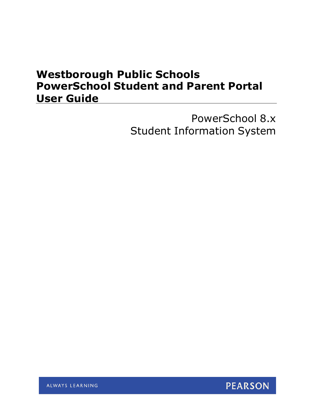# **Westborough Public Schools PowerSchool Student and Parent Portal User Guide**

PowerSchool 8.x Student Information System

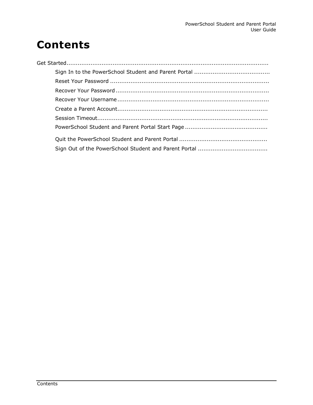# **Contents**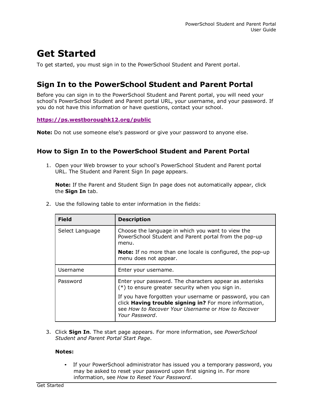# **Get Started**

To get started, you must sign in to the PowerSchool Student and Parent portal.

## **Sign In to the PowerSchool Student and Parent Portal**

Before you can sign in to the PowerSchool Student and Parent portal, you will need your school's PowerSchool Student and Parent portal URL, your username, and your password. If you do not have this information or have questions, contact your school.

#### **<https://ps.westboroughk12.org/public>**

**Note:** Do not use someone else's password or give your password to anyone else.

### **How to Sign In to the PowerSchool Student and Parent Portal**

1. Open your Web browser to your school's PowerSchool Student and Parent portal URL. The Student and Parent Sign In page appears.

**Note:** If the Parent and Student Sign In page does not automatically appear, click the **Sign In** tab.

| <b>Field</b>    | <b>Description</b>                                                                                                                                                                         |
|-----------------|--------------------------------------------------------------------------------------------------------------------------------------------------------------------------------------------|
| Select Language | Choose the language in which you want to view the<br>PowerSchool Student and Parent portal from the pop-up<br>menu.                                                                        |
|                 | <b>Note:</b> If no more than one locale is configured, the pop-up<br>menu does not appear.                                                                                                 |
| Username        | Enter your username.                                                                                                                                                                       |
| Password        | Enter your password. The characters appear as asterisks<br>$(*)$ to ensure greater security when you sign in.                                                                              |
|                 | If you have forgotten your username or password, you can<br>click Having trouble signing in? For more information,<br>see How to Recover Your Username or How to Recover<br>Your Password. |

2. Use the following table to enter information in the fields:

3. Click **Sign In**. The start page appears. For more information, see *PowerSchool Student and Parent Portal Start Page*.

#### **Notes:**

• If your PowerSchool administrator has issued you a temporary password, you may be asked to reset your password upon first signing in. For more information, see *How to Reset Your Password*.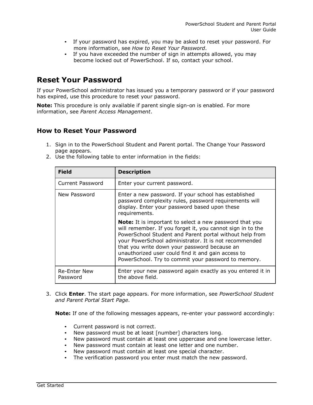- If your password has expired, you may be asked to reset your password. For more information, see *How to Reset Your Password*.
- If you have exceeded the number of sign in attempts allowed, you may become locked out of PowerSchool. If so, contact your school.

## **Reset Your Password**

If your PowerSchool administrator has issued you a temporary password or if your password has expired, use this procedure to reset your password.

**Note:** This procedure is only available if parent single sign-on is enabled. For more information, see *Parent Access Management*.

### **How to Reset Your Password**

1. Sign in to the PowerSchool Student and Parent portal. The Change Your Password page appears.

| <b>Field</b>                    | <b>Description</b>                                                                                                                                                                                                                                                                                                                                                                                            |
|---------------------------------|---------------------------------------------------------------------------------------------------------------------------------------------------------------------------------------------------------------------------------------------------------------------------------------------------------------------------------------------------------------------------------------------------------------|
| Current Password                | Enter your current password.                                                                                                                                                                                                                                                                                                                                                                                  |
| New Password                    | Enter a new password. If your school has established<br>password complexity rules, password requirements will<br>display. Enter your password based upon these<br>requirements.                                                                                                                                                                                                                               |
|                                 | <b>Note:</b> It is important to select a new password that you<br>will remember. If you forget it, you cannot sign in to the<br>PowerSchool Student and Parent portal without help from<br>your PowerSchool administrator. It is not recommended<br>that you write down your password because an<br>unauthorized user could find it and gain access to<br>PowerSchool. Try to commit your password to memory. |
| <b>Re-Enter New</b><br>Password | Enter your new password again exactly as you entered it in<br>the above field.                                                                                                                                                                                                                                                                                                                                |

2. Use the following table to enter information in the fields:

3. Click **Enter**. The start page appears. For more information, see *PowerSchool Student and Parent Portal Start Page*.

**Note:** If one of the following messages appears, re-enter your password accordingly:

- Current password is not correct.
- New password must be at least [number] characters long.
- New password must contain at least one uppercase and one lowercase letter.
- New password must contain at least one letter and one number.
- New password must contain at least one special character.
- The verification password you enter must match the new password.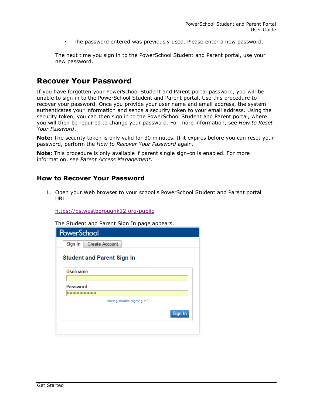• The password entered was previously used. Please enter a new password.

The next time you sign in to the PowerSchool Student and Parent portal, use your new password.

### **Recover Your Password**

If you have forgotten your PowerSchool Student and Parent portal password, you will be unable to sign in to the PowerSchool Student and Parent portal. Use this procedure to recover your password. Once you provide your user name and email address, the system authenticates your information and sends a security token to your email address. Using the security token, you can then sign in to the PowerSchool Student and Parent portal, where you will then be required to change your password. For more information, see *How to Reset Your Password*.

**Note:** The security token is only valid for 30 minutes. If it expires before you can reset your password, perform the *How to Recover Your Password* again.

**Note:** This procedure is only available if parent single sign-on is enabled. For more information, see *Parent Access Management*.

#### **How to Recover Your Password**

1. Open your Web browser to your school's PowerSchool Student and Parent portal URL.

<https://ps.westboroughk12.org/public>

The Student and Parent Sign In page appears.

| <b>PowerSchool</b> |                                   |
|--------------------|-----------------------------------|
| Sign In            | <b>Create Account</b>             |
|                    | <b>Student and Parent Sign In</b> |
| <b>Username</b>    |                                   |
|                    |                                   |
| <b>Password</b>    |                                   |
|                    | Having trouble signing in?        |
|                    | Sign In                           |
|                    |                                   |
|                    |                                   |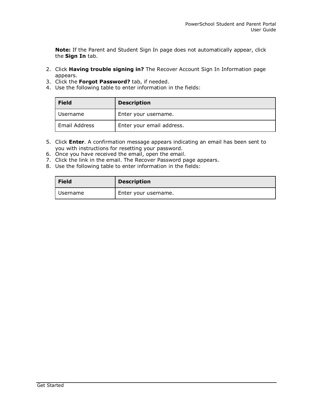**Note:** If the Parent and Student Sign In page does not automatically appear, click the **Sign In** tab.

- 2. Click **Having trouble signing in?** The Recover Account Sign In Information page appears.
- 3. Click the **Forgot Password?** tab, if needed.
- 4. Use the following table to enter information in the fields:

| <b>Field</b>  | <b>Description</b>        |
|---------------|---------------------------|
| Username      | Enter your username.      |
| Email Address | Enter your email address. |

- 5. Click **Enter**. A confirmation message appears indicating an email has been sent to you with instructions for resetting your password.
- 6. Once you have received the email, open the email.
- 7. Click the link in the email. The Recover Password page appears.
- 8. Use the following table to enter information in the fields:

| <b>Field</b> | <b>Description</b>   |
|--------------|----------------------|
| Username     | Enter your username. |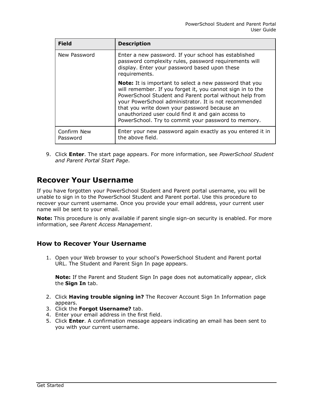| <b>Field</b>            | <b>Description</b>                                                                                                                                                                                                                                                                                                                                                                                            |
|-------------------------|---------------------------------------------------------------------------------------------------------------------------------------------------------------------------------------------------------------------------------------------------------------------------------------------------------------------------------------------------------------------------------------------------------------|
| New Password            | Enter a new password. If your school has established<br>password complexity rules, password requirements will<br>display. Enter your password based upon these<br>requirements.                                                                                                                                                                                                                               |
|                         | <b>Note:</b> It is important to select a new password that you<br>will remember. If you forget it, you cannot sign in to the<br>PowerSchool Student and Parent portal without help from<br>your PowerSchool administrator. It is not recommended<br>that you write down your password because an<br>unauthorized user could find it and gain access to<br>PowerSchool. Try to commit your password to memory. |
| Confirm New<br>Password | Enter your new password again exactly as you entered it in<br>the above field.                                                                                                                                                                                                                                                                                                                                |

9. Click **Enter**. The start page appears. For more information, see *PowerSchool Student and Parent Portal Start Page*.

## **Recover Your Username**

If you have forgotten your PowerSchool Student and Parent portal username, you will be unable to sign in to the PowerSchool Student and Parent portal. Use this procedure to recover your current username. Once you provide your email address, your current user name will be sent to your email.

**Note:** This procedure is only available if parent single sign-on security is enabled. For more information, see *Parent Access Management*.

### **How to Recover Your Username**

1. Open your Web browser to your school's PowerSchool Student and Parent portal URL. The Student and Parent Sign In page appears.

**Note:** If the Parent and Student Sign In page does not automatically appear, click the **Sign In** tab.

- 2. Click **Having trouble signing in?** The Recover Account Sign In Information page appears.
- 3. Click the **Forgot Username?** tab.
- 4. Enter your email address in the first field.
- 5. Click **Enter**. A confirmation message appears indicating an email has been sent to you with your current username.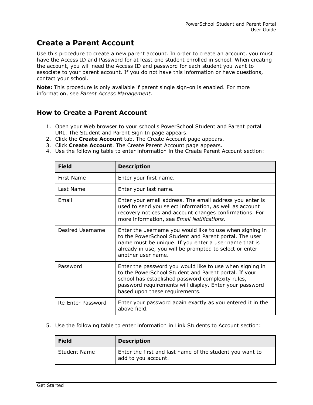# **Create a Parent Account**

Use this procedure to create a new parent account. In order to create an account, you must have the Access ID and Password for at least one student enrolled in school. When creating the account, you will need the Access ID and password for each student you want to associate to your parent account. If you do not have this information or have questions, contact your school.

**Note:** This procedure is only available if parent single sign-on is enabled. For more information, see *Parent Access Management*.

### **How to Create a Parent Account**

- 1. Open your Web browser to your school's PowerSchool Student and Parent portal URL. The Student and Parent Sign In page appears.
- 2. Click the **Create Account** tab. The Create Account page appears.
- 3. Click **Create Account**. The Create Parent Account page appears.
- 4. Use the following table to enter information in the Create Parent Account section:

| <b>Field</b>      | <b>Description</b>                                                                                                                                                                                                                                                  |
|-------------------|---------------------------------------------------------------------------------------------------------------------------------------------------------------------------------------------------------------------------------------------------------------------|
| First Name        | Enter your first name.                                                                                                                                                                                                                                              |
| Last Name         | Enter your last name.                                                                                                                                                                                                                                               |
| Email             | Enter your email address. The email address you enter is<br>used to send you select information, as well as account<br>recovery notices and account changes confirmations. For<br>more information, see Email Notifications.                                        |
| Desired Username  | Enter the username you would like to use when signing in<br>to the PowerSchool Student and Parent portal. The user<br>name must be unique. If you enter a user name that is<br>already in use, you will be prompted to select or enter<br>another user name.        |
| Password          | Enter the password you would like to use when signing in<br>to the PowerSchool Student and Parent portal. If your<br>school has established password complexity rules,<br>password requirements will display. Enter your password<br>based upon these requirements. |
| Re-Enter Password | Enter your password again exactly as you entered it in the<br>above field.                                                                                                                                                                                          |

5. Use the following table to enter information in Link Students to Account section:

| <b>Field</b> | <b>Description</b>                                                              |
|--------------|---------------------------------------------------------------------------------|
| Student Name | Enter the first and last name of the student you want to<br>add to you account. |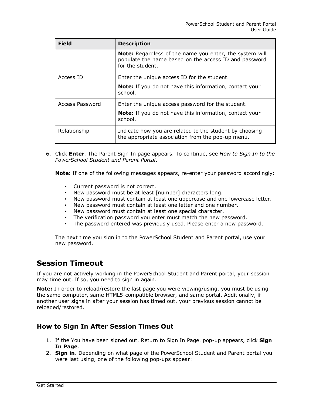| <b>Field</b>    | <b>Description</b>                                                                                                                   |
|-----------------|--------------------------------------------------------------------------------------------------------------------------------------|
|                 | Note: Regardless of the name you enter, the system will<br>populate the name based on the access ID and password<br>for the student. |
| Access ID       | Enter the unique access ID for the student.                                                                                          |
|                 | Note: If you do not have this information, contact your<br>school.                                                                   |
| Access Password | Enter the unique access password for the student.                                                                                    |
|                 | <b>Note:</b> If you do not have this information, contact your<br>school.                                                            |
| Relationship    | Indicate how you are related to the student by choosing<br>the appropriate association from the pop-up menu.                         |

6. Click **Enter**. The Parent Sign In page appears. To continue, see *How to Sign In to the PowerSchool Student and Parent Portal*.

**Note:** If one of the following messages appears, re-enter your password accordingly:

- Current password is not correct.
- New password must be at least [number] characters long.
- New password must contain at least one uppercase and one lowercase letter.
- New password must contain at least one letter and one number.
- New password must contain at least one special character.
- The verification password you enter must match the new password.<br>• The password entered was previously used. Please enter a new pass
- The password entered was previously used. Please enter a new password.

The next time you sign in to the PowerSchool Student and Parent portal, use your new password.

## **Session Timeout**

If you are not actively working in the PowerSchool Student and Parent portal, your session may time out. If so, you need to sign in again.

**Note:** In order to reload/restore the last page you were viewing/using, you must be using the same computer, same HTML5-compatible browser, and same portal. Additionally, if another user signs in after your session has timed out, your previous session cannot be reloaded/restored.

### **How to Sign In After Session Times Out**

- 1. If the You have been signed out. Return to Sign In Page. pop-up appears, click **Sign In Page**.
- 2. **Sign in**. Depending on what page of the PowerSchool Student and Parent portal you were last using, one of the following pop-ups appear: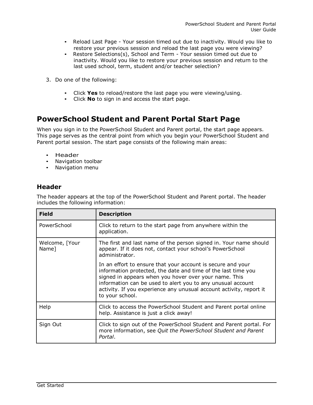- Reload Last Page Your session timed out due to inactivity. Would you like to restore your previous session and reload the last page you were viewing?
- Restore Selections(s), School and Term Your session timed out due to inactivity. Would you like to restore your previous session and return to the last used school, term, student and/or teacher selection?
- 3. Do one of the following:
	- Click **Yes** to reload/restore the last page you were viewing/using.
	- Click **No** to sign in and access the start page.

# **PowerSchool Student and Parent Portal Start Page**

When you sign in to the PowerSchool Student and Parent portal, the start page appears. This page serves as the central point from which you begin your PowerSchool Student and Parent portal session. The start page consists of the following main areas:

- Header
- Navigation toolbar
- Navigation menu

### **Header**

The header appears at the top of the PowerSchool Student and Parent portal. The header includes the following information:

| <b>Field</b>            | <b>Description</b>                                                                                                                                                                                                                                                                                                                             |
|-------------------------|------------------------------------------------------------------------------------------------------------------------------------------------------------------------------------------------------------------------------------------------------------------------------------------------------------------------------------------------|
| PowerSchool             | Click to return to the start page from anywhere within the<br>application.                                                                                                                                                                                                                                                                     |
| Welcome, [Your<br>Name] | The first and last name of the person signed in. Your name should<br>appear. If it does not, contact your school's PowerSchool<br>administrator.                                                                                                                                                                                               |
|                         | In an effort to ensure that your account is secure and your<br>information protected, the date and time of the last time you<br>signed in appears when you hover over your name. This<br>information can be used to alert you to any unusual account<br>activity. If you experience any unusual account activity, report it<br>to your school. |
| Help                    | Click to access the PowerSchool Student and Parent portal online<br>help. Assistance is just a click away!                                                                                                                                                                                                                                     |
| Sign Out                | Click to sign out of the PowerSchool Student and Parent portal. For<br>more information, see Quit the PowerSchool Student and Parent<br>Portal.                                                                                                                                                                                                |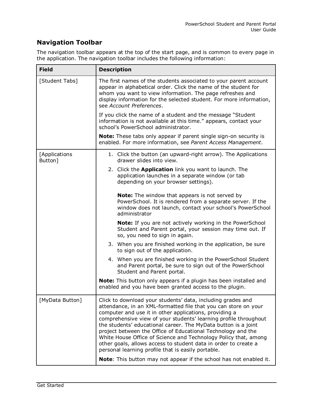### **Navigation Toolbar**

The navigation toolbar appears at the top of the start page, and is common to every page in the application. The navigation toolbar includes the following information:

| <b>Field</b>             | <b>Description</b>                                                                                                                                                                                                                                                                                                                                                                                                                                                                                                                                                                         |
|--------------------------|--------------------------------------------------------------------------------------------------------------------------------------------------------------------------------------------------------------------------------------------------------------------------------------------------------------------------------------------------------------------------------------------------------------------------------------------------------------------------------------------------------------------------------------------------------------------------------------------|
| [Student Tabs]           | The first names of the students associated to your parent account<br>appear in alphabetical order. Click the name of the student for<br>whom you want to view information. The page refreshes and<br>display information for the selected student. For more information,<br>see Account Preferences.                                                                                                                                                                                                                                                                                       |
|                          | If you click the name of a student and the message "Student"<br>information is not available at this time." appears, contact your<br>school's PowerSchool administrator.                                                                                                                                                                                                                                                                                                                                                                                                                   |
|                          | <b>Note:</b> These tabs only appear if parent single sign-on security is<br>enabled. For more information, see Parent Access Management.                                                                                                                                                                                                                                                                                                                                                                                                                                                   |
| [Applications<br>Button] | 1. Click the button (an upward-right arrow). The Applications<br>drawer slides into view.                                                                                                                                                                                                                                                                                                                                                                                                                                                                                                  |
|                          | 2. Click the Application link you want to launch. The<br>application launches in a separate window (or tab<br>depending on your browser settings).                                                                                                                                                                                                                                                                                                                                                                                                                                         |
|                          | Note: The window that appears is not served by<br>PowerSchool. It is rendered from a separate server. If the<br>window does not launch, contact your school's PowerSchool<br>administrator                                                                                                                                                                                                                                                                                                                                                                                                 |
|                          | Note: If you are not actively working in the PowerSchool<br>Student and Parent portal, your session may time out. If<br>so, you need to sign in again.                                                                                                                                                                                                                                                                                                                                                                                                                                     |
|                          | 3. When you are finished working in the application, be sure<br>to sign out of the application.                                                                                                                                                                                                                                                                                                                                                                                                                                                                                            |
|                          | 4. When you are finished working in the PowerSchool Student<br>and Parent portal, be sure to sign out of the PowerSchool<br>Student and Parent portal.                                                                                                                                                                                                                                                                                                                                                                                                                                     |
|                          | Note: This button only appears if a plugin has been installed and<br>enabled and you have been granted access to the plugin.                                                                                                                                                                                                                                                                                                                                                                                                                                                               |
| [MyData Button]          | Click to download your students' data, including grades and<br>attendance, in an XML-formatted file that you can store on your<br>computer and use it in other applications, providing a<br>comprehensive view of your students' learning profile throughout<br>the students' educational career. The MyData button is a joint<br>project between the Office of Educational Technology and the<br>White House Office of Science and Technology Policy that, among<br>other goals, allows access to student data in order to create a<br>personal learning profile that is easily portable. |
|                          | <b>Note:</b> This button may not appear if the school has not enabled it.                                                                                                                                                                                                                                                                                                                                                                                                                                                                                                                  |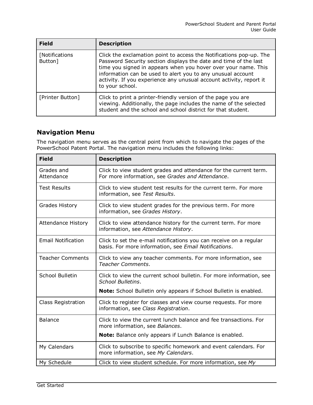| <b>Field</b>              | <b>Description</b>                                                                                                                                                                                                                                                                                                                                                 |
|---------------------------|--------------------------------------------------------------------------------------------------------------------------------------------------------------------------------------------------------------------------------------------------------------------------------------------------------------------------------------------------------------------|
| [Notifications<br>Button] | Click the exclamation point to access the Notifications pop-up. The<br>Password Security section displays the date and time of the last<br>time you signed in appears when you hover over your name. This<br>information can be used to alert you to any unusual account<br>activity. If you experience any unusual account activity, report it<br>to your school. |
| [Printer Button]          | Click to print a printer-friendly version of the page you are<br>viewing. Additionally, the page includes the name of the selected<br>student and the school and school district for that student.                                                                                                                                                                 |

### **Navigation Menu**

The navigation menu serves as the central point from which to navigate the pages of the PowerSchool Patent Portal. The navigation menu includes the following links:

| <b>Field</b>              | <b>Description</b>                                                                                                          |
|---------------------------|-----------------------------------------------------------------------------------------------------------------------------|
| Grades and<br>Attendance  | Click to view student grades and attendance for the current term.<br>For more information, see Grades and Attendance.       |
| <b>Test Results</b>       | Click to view student test results for the current term. For more<br>information, see Test Results.                         |
| <b>Grades History</b>     | Click to view student grades for the previous term. For more<br>information, see Grades History.                            |
| <b>Attendance History</b> | Click to view attendance history for the current term. For more<br>information, see Attendance History.                     |
| <b>Email Notification</b> | Click to set the e-mail notifications you can receive on a regular<br>basis. For more information, see Email Notifications. |
| <b>Teacher Comments</b>   | Click to view any teacher comments. For more information, see<br>Teacher Comments.                                          |
| <b>School Bulletin</b>    | Click to view the current school bulletin. For more information, see<br>School Bulletins.                                   |
|                           | Note: School Bulletin only appears if School Bulletin is enabled.                                                           |
| <b>Class Registration</b> | Click to register for classes and view course requests. For more<br>information, see Class Registration.                    |
| <b>Balance</b>            | Click to view the current lunch balance and fee transactions. For<br>more information, see Balances.                        |
|                           | Note: Balance only appears if Lunch Balance is enabled.                                                                     |
| My Calendars              | Click to subscribe to specific homework and event calendars. For<br>more information, see My Calendars.                     |
| My Schedule               | Click to view student schedule. For more information, see My                                                                |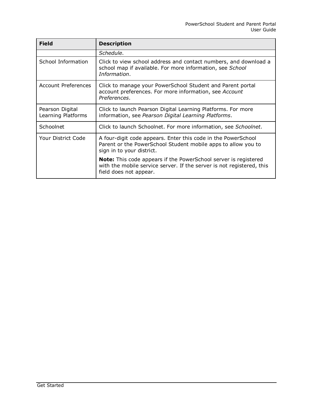| <b>Field</b>                          | <b>Description</b>                                                                                                                                                        |
|---------------------------------------|---------------------------------------------------------------------------------------------------------------------------------------------------------------------------|
|                                       | Schedule.                                                                                                                                                                 |
| School Information                    | Click to view school address and contact numbers, and download a<br>school map if available. For more information, see School<br>Information.                             |
| <b>Account Preferences</b>            | Click to manage your PowerSchool Student and Parent portal<br>account preferences. For more information, see Account<br>Preferences.                                      |
| Pearson Digital<br>Learning Platforms | Click to launch Pearson Digital Learning Platforms. For more<br>information, see Pearson Digital Learning Platforms.                                                      |
| Schoolnet                             | Click to launch Schoolnet. For more information, see Schoolnet.                                                                                                           |
| Your District Code                    | A four-digit code appears. Enter this code in the PowerSchool<br>Parent or the PowerSchool Student mobile apps to allow you to<br>sign in to your district.               |
|                                       | <b>Note:</b> This code appears if the PowerSchool server is registered<br>with the mobile service server. If the server is not registered, this<br>field does not appear. |